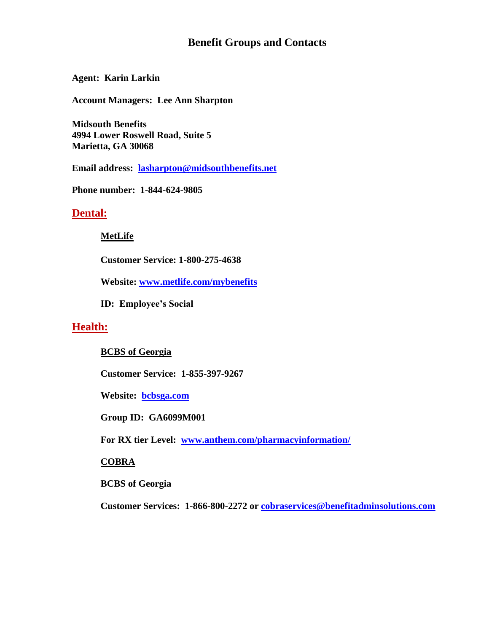# **Benefit Groups and Contacts**

**Agent: Karin Larkin** 

**Account Managers: Lee Ann Sharpton** 

**Midsouth Benefits 4994 Lower Roswell Road, Suite 5 Marietta, GA 30068**

**Email address: [lasharpton@midsouthbenefits.net](mailto:lasharpton@midsouthbenefits.net)**

**Phone number: 1-844-624-9805**

## **Dental:**

### **MetLife**

**Customer Service: 1-800-275-4638**

**Website: [www.metlife.com/mybenefits](http://www.metlife.com/mybenefits)**

**ID: Employee's Social** 

## **Health:**

### **BCBS of Georgia**

**Customer Service: 1-855-397-9267**

**Website: [bcbsga.com](http://www.bcbc.com/)**

**Group ID: GA6099M001**

**For RX tier Level: [www.anthem.com/pharmacyinformation/](http://www.anthem.com/pharmacyinformation/)** 

### **COBRA**

**BCBS of Georgia**

**Customer Services: 1-866-800-2272 or [cobraservices@benefitadminsolutions.com](mailto:cobraservices@benefitadminsolutions.com)**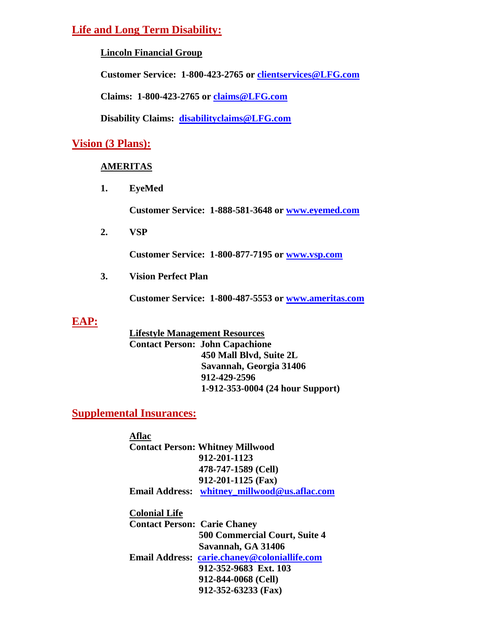# **Life and Long Term Disability:**

**Lincoln Financial Group**

**Customer Service: 1-800-423-2765 or [clientservices@LFG.com](mailto:clientservices@LFG.com)**

**Claims: 1-800-423-2765 or [claims@LFG.com](mailto:claims@LFG.com)**

**Disability Claims: [disabilityclaims@LFG.com](mailto:disabilityclaims@LFG.com)**

# **Vision (3 Plans):**

## **AMERITAS**

**1. EyeMed**

**Customer Service: 1-888-581-3648 or [www.eyemed.com](http://www.eyemed.com/)**

**2. VSP**

**Customer Service: 1-800-877-7195 or [www.vsp.com](http://www.vsp.com/)**

**3. Vision Perfect Plan**

**Customer Service: 1-800-487-5553 or [www.ameritas.com](http://www.ameritas.com/)**

# **EAP:**

**Lifestyle Management Resources Contact Person: John Capachione 450 Mall Blvd, Suite 2L Savannah, Georgia 31406 912-429-2596 1-912-353-0004 (24 hour Support)**

# **Supplemental Insurances:**

**Aflac Contact Person: Whitney Millwood 912-201-1123 478-747-1589 (Cell) 912-201-1125 (Fax) Email Address: [whitney\\_millwood@us.aflac.com](mailto:whitney_millwood@us.aflac.com) Colonial Life Contact Person: Carie Chaney 500 Commercial Court, Suite 4 Savannah, GA 31406 Email Address: [carie.chaney@coloniallife.com](mailto:carie.chaney@coloniallife.com) 912-352-9683 Ext. 103 912-844-0068 (Cell)**

**912-352-63233 (Fax)**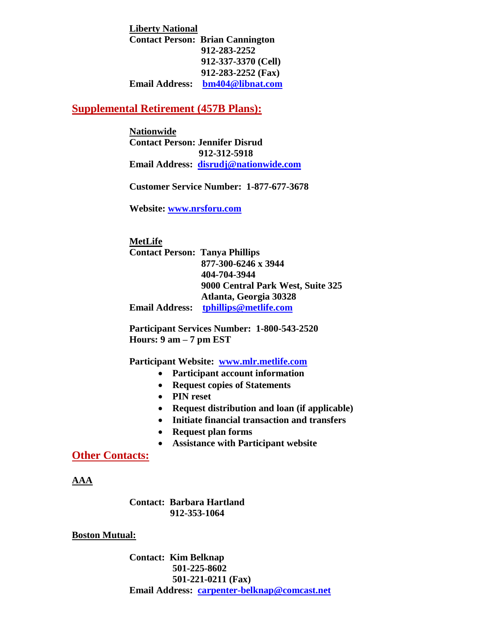**Liberty National Contact Person: Brian Cannington 912-283-2252 912-337-3370 (Cell) 912-283-2252 (Fax) Email Address: [bm404@libnat.com](mailto:bm404@libnat.com)**

## **Supplemental Retirement (457B Plans):**

**Nationwide Contact Person: Jennifer Disrud 912-312-5918 Email Address: [disrudj@nationwide.com](mailto:smithw27@nationwide.com)**

**Customer Service Number: 1-877-677-3678**

**Website: [www.nrsforu.com](http://www.nrsforu.com/)**

**MetLife Contact Person: Tanya Phillips 877-300-6246 x 3944 404-704-3944 9000 Central Park West, Suite 325 Atlanta, Georgia 30328 Email Address: [tphillips@metlife.com](mailto:tphillips@metlife.com)**

**Participant Services Number: 1-800-543-2520 Hours: 9 am – 7 pm EST**

**Participant Website: [www.mlr.metlife.com](http://www.mlr.metlife.com/)**

- **Participant account information**
- **Request copies of Statements**
- **PIN reset**
- **Request distribution and loan (if applicable)**
- **Initiate financial transaction and transfers**
- **Request plan forms**
- **Assistance with Participant website**

**Other Contacts:**

**AAA**

**Contact: Barbara Hartland 912-353-1064**

#### **Boston Mutual:**

**Contact: Kim Belknap 501-225-8602 501-221-0211 (Fax) Email Address: [carpenter-belknap@comcast.net](mailto:carpenter-belknap@comcast.net)**